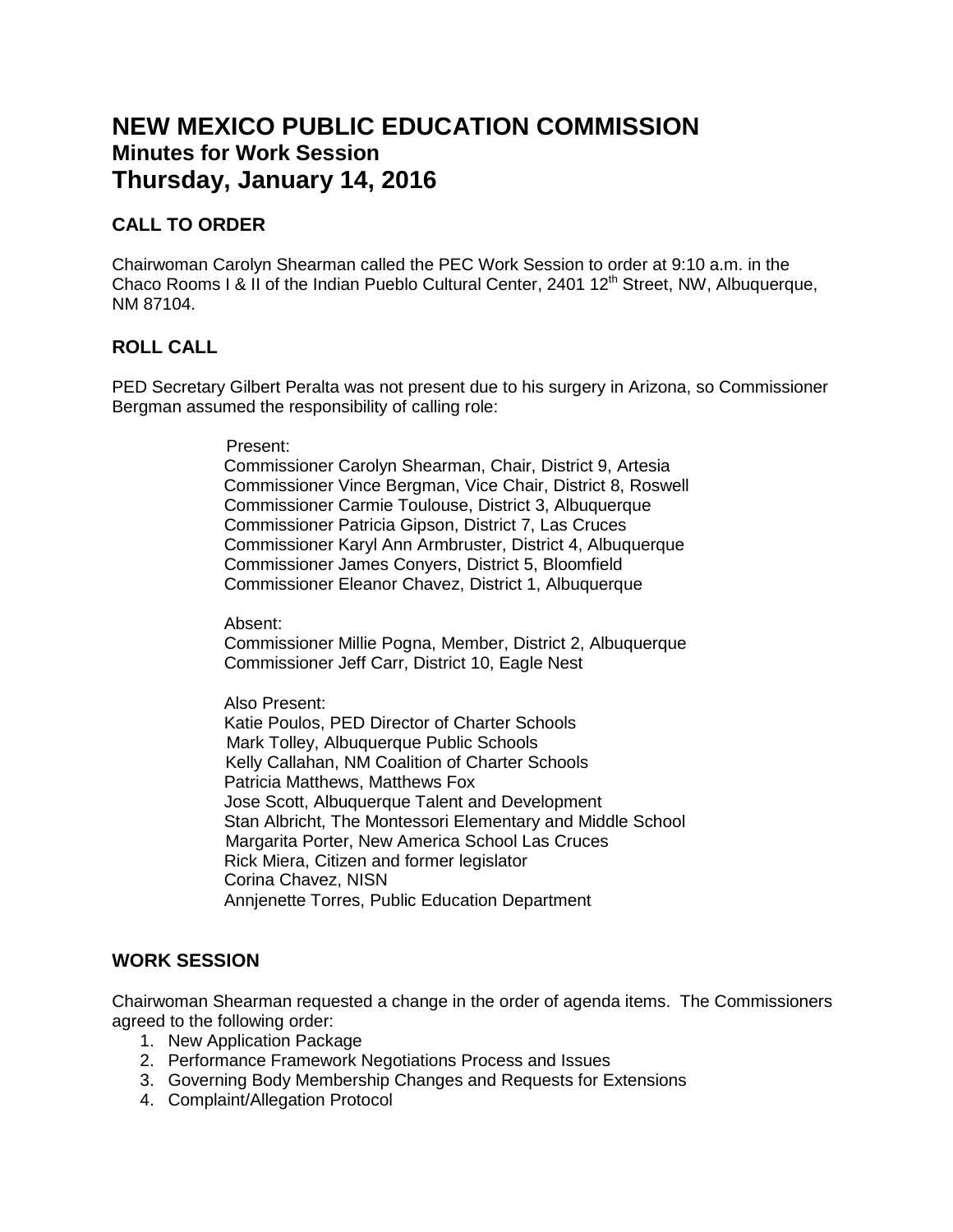# **NEW MEXICO PUBLIC EDUCATION COMMISSION Minutes for Work Session Thursday, January 14, 2016**

## **CALL TO ORDER**

Chairwoman Carolyn Shearman called the PEC Work Session to order at 9:10 a.m. in the Chaco Rooms I & II of the Indian Pueblo Cultural Center, 2401  $12<sup>th</sup>$  Street, NW, Albuquerque, NM 87104.

## **ROLL CALL**

PED Secretary Gilbert Peralta was not present due to his surgery in Arizona, so Commissioner Bergman assumed the responsibility of calling role:

Present:

 Commissioner Carolyn Shearman, Chair, District 9, Artesia Commissioner Vince Bergman, Vice Chair, District 8, Roswell Commissioner Carmie Toulouse, District 3, Albuquerque Commissioner Patricia Gipson, District 7, Las Cruces Commissioner Karyl Ann Armbruster, District 4, Albuquerque Commissioner James Conyers, District 5, Bloomfield Commissioner Eleanor Chavez, District 1, Albuquerque

Absent:

Commissioner Millie Pogna, Member, District 2, Albuquerque Commissioner Jeff Carr, District 10, Eagle Nest

#### Also Present:

 Katie Poulos, PED Director of Charter Schools Mark Tolley, Albuquerque Public Schools Kelly Callahan, NM Coalition of Charter Schools Patricia Matthews, Matthews Fox Jose Scott, Albuquerque Talent and Development Stan Albricht, The Montessori Elementary and Middle School Margarita Porter, New America School Las Cruces Rick Miera, Citizen and former legislator Corina Chavez, NISN Annjenette Torres, Public Education Department

## **WORK SESSION**

Chairwoman Shearman requested a change in the order of agenda items. The Commissioners agreed to the following order:

- 1. New Application Package
- 2. Performance Framework Negotiations Process and Issues
- 3. Governing Body Membership Changes and Requests for Extensions
- 4. Complaint/Allegation Protocol